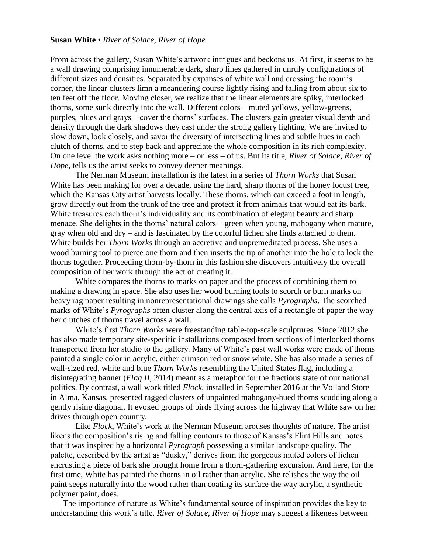## **Susan White** • *River of Solace, River of Hope*

From across the gallery, Susan White's artwork intrigues and beckons us. At first, it seems to be a wall drawing comprising innumerable dark, sharp lines gathered in unruly configurations of different sizes and densities. Separated by expanses of white wall and crossing the room's corner, the linear clusters limn a meandering course lightly rising and falling from about six to ten feet off the floor. Moving closer, we realize that the linear elements are spiky, interlocked thorns, some sunk directly into the wall. Different colors – muted yellows, yellow-greens, purples, blues and grays – cover the thorns' surfaces. The clusters gain greater visual depth and density through the dark shadows they cast under the strong gallery lighting. We are invited to slow down, look closely, and savor the diversity of intersecting lines and subtle hues in each clutch of thorns, and to step back and appreciate the whole composition in its rich complexity. On one level the work asks nothing more – or less – of us. But its title, *River of Solace, River of Hope*, tells us the artist seeks to convey deeper meanings.

The Nerman Museum installation is the latest in a series of *Thorn Works* that Susan White has been making for over a decade, using the hard, sharp thorns of the honey locust tree, which the Kansas City artist harvests locally. These thorns, which can exceed a foot in length, grow directly out from the trunk of the tree and protect it from animals that would eat its bark. White treasures each thorn's individuality and its combination of elegant beauty and sharp menace. She delights in the thorns' natural colors – green when young, mahogany when mature, gray when old and dry – and is fascinated by the colorful lichen she finds attached to them. White builds her *Thorn Works* through an accretive and unpremeditated process. She uses a wood burning tool to pierce one thorn and then inserts the tip of another into the hole to lock the thorns together. Proceeding thorn-by-thorn in this fashion she discovers intuitively the overall composition of her work through the act of creating it.

White compares the thorns to marks on paper and the process of combining them to making a drawing in space. She also uses her wood burning tools to scorch or burn marks on heavy rag paper resulting in nonrepresentational drawings she calls *Pyrographs*. The scorched marks of White's *Pyrographs* often cluster along the central axis of a rectangle of paper the way her clutches of thorns travel across a wall.

White's first *Thorn Works* were freestanding table-top-scale sculptures. Since 2012 she has also made temporary site-specific installations composed from sections of interlocked thorns transported from her studio to the gallery. Many of White's past wall works were made of thorns painted a single color in acrylic, either crimson red or snow white. She has also made a series of wall-sized red, white and blue *Thorn Works* resembling the United States flag, including a disintegrating banner (*Flag II*, 2014) meant as a metaphor for the fractious state of our national politics. By contrast, a wall work titled *Flock*, installed in September 2016 at the Volland Store in Alma, Kansas, presented ragged clusters of unpainted mahogany-hued thorns scudding along a gently rising diagonal. It evoked groups of birds flying across the highway that White saw on her drives through open country.

Like *Flock*, White's work at the Nerman Museum arouses thoughts of nature. The artist likens the composition's rising and falling contours to those of Kansas's Flint Hills and notes that it was inspired by a horizontal *Pyrograph* possessing a similar landscape quality. The palette, described by the artist as "dusky," derives from the gorgeous muted colors of lichen encrusting a piece of bark she brought home from a thorn-gathering excursion. And here, for the first time, White has painted the thorns in oil rather than acrylic. She relishes the way the oil paint seeps naturally into the wood rather than coating its surface the way acrylic, a synthetic polymer paint, does.

The importance of nature as White's fundamental source of inspiration provides the key to understanding this work's title. *River of Solace, River of Hope* may suggest a likeness between